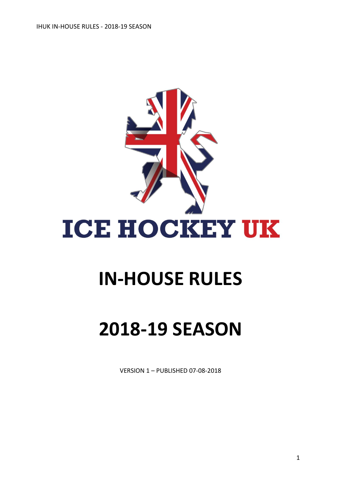

# **IN-HOUSE RULES**

# **2018-19 SEASON**

VERSION 1 – PUBLISHED 07-08-2018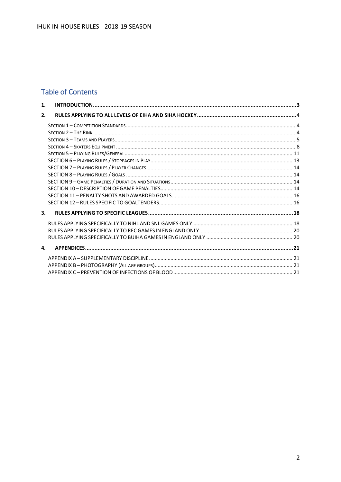## **Table of Contents**

| 1. |  |
|----|--|
| 2. |  |
|    |  |
|    |  |
|    |  |
|    |  |
|    |  |
|    |  |
|    |  |
|    |  |
|    |  |
|    |  |
|    |  |
|    |  |
| 3. |  |
|    |  |
|    |  |
|    |  |
| 4. |  |
|    |  |
|    |  |
|    |  |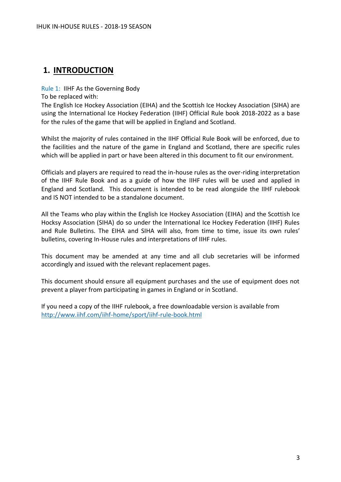# <span id="page-2-0"></span>**1. INTRODUCTION**

Rule 1: IIHF As the Governing Body

To be replaced with:

The English Ice Hockey Association (EIHA) and the Scottish Ice Hockey Association (SIHA) are using the International Ice Hockey Federation (IIHF) Official Rule book 2018-2022 as a base for the rules of the game that will be applied in England and Scotland.

Whilst the majority of rules contained in the IIHF Official Rule Book will be enforced, due to the facilities and the nature of the game in England and Scotland, there are specific rules which will be applied in part or have been altered in this document to fit our environment.

Officials and players are required to read the in-house rules as the over-riding interpretation of the IIHF Rule Book and as a guide of how the IIHF rules will be used and applied in England and Scotland. This document is intended to be read alongside the IIHF rulebook and IS NOT intended to be a standalone document.

All the Teams who play within the English Ice Hockey Association (EIHA) and the Scottish Ice Hocksy Association (SIHA) do so under the International Ice Hockey Federation (IIHF) Rules and Rule Bulletins. The EIHA and SIHA will also, from time to time, issue its own rules' bulletins, covering In-House rules and interpretations of IIHF rules.

This document may be amended at any time and all club secretaries will be informed accordingly and issued with the relevant replacement pages.

This document should ensure all equipment purchases and the use of equipment does not prevent a player from participating in games in England or in Scotland.

If you need a copy of the IIHF rulebook, a free downloadable version is available from <http://www.iihf.com/iihf-home/sport/iihf-rule-book.html>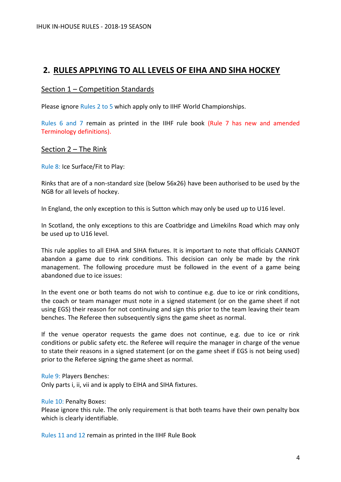## <span id="page-3-0"></span>**2. RULES APPLYING TO ALL LEVELS OF EIHA AND SIHA HOCKEY**

## <span id="page-3-1"></span>Section 1 – Competition Standards

Please ignore Rules 2 to 5 which apply only to IIHF World Championships.

Rules 6 and 7 remain as printed in the IIHF rule book (Rule 7 has new and amended Terminology definitions).

## <span id="page-3-2"></span>Section 2 – The Rink

Rule 8: Ice Surface/Fit to Play:

Rinks that are of a non-standard size (below 56x26) have been authorised to be used by the NGB for all levels of hockey.

In England, the only exception to this is Sutton which may only be used up to U16 level.

In Scotland, the only exceptions to this are Coatbridge and Limekilns Road which may only be used up to U16 level.

This rule applies to all EIHA and SIHA fixtures. It is important to note that officials CANNOT abandon a game due to rink conditions. This decision can only be made by the rink management. The following procedure must be followed in the event of a game being abandoned due to ice issues:

In the event one or both teams do not wish to continue e.g. due to ice or rink conditions, the coach or team manager must note in a signed statement (or on the game sheet if not using EGS) their reason for not continuing and sign this prior to the team leaving their team benches. The Referee then subsequently signs the game sheet as normal.

If the venue operator requests the game does not continue, e.g. due to ice or rink conditions or public safety etc. the Referee will require the manager in charge of the venue to state their reasons in a signed statement (or on the game sheet if EGS is not being used) prior to the Referee signing the game sheet as normal.

Rule 9: Players Benches:

Only parts i, ii, vii and ix apply to EIHA and SIHA fixtures.

Rule 10: Penalty Boxes:

Please ignore this rule. The only requirement is that both teams have their own penalty box which is clearly identifiable.

Rules 11 and 12 remain as printed in the IIHF Rule Book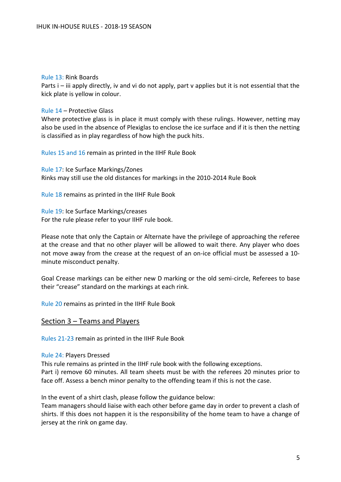## Rule 13: Rink Boards

Parts i – iii apply directly, iv and vi do not apply, part v applies but it is not essential that the kick plate is yellow in colour.

#### Rule 14 – Protective Glass

Where protective glass is in place it must comply with these rulings. However, netting may also be used in the absence of Plexiglas to enclose the ice surface and if it is then the netting is classified as in play regardless of how high the puck hits.

Rules 15 and 16 remain as printed in the IIHF Rule Book

Rule 17: Ice Surface Markings/Zones Rinks may still use the old distances for markings in the 2010-2014 Rule Book

Rule 18 remains as printed in the IIHF Rule Book

Rule 19: Ice Surface Markings/creases For the rule please refer to your IIHF rule book.

Please note that only the Captain or Alternate have the privilege of approaching the referee at the crease and that no other player will be allowed to wait there. Any player who does not move away from the crease at the request of an on-ice official must be assessed a 10 minute misconduct penalty.

Goal Crease markings can be either new D marking or the old semi-circle, Referees to base their "crease" standard on the markings at each rink.

Rule 20 remains as printed in the IIHF Rule Book

## <span id="page-4-0"></span>Section 3 – Teams and Players

Rules 21-23 remain as printed in the IIHF Rule Book

#### Rule 24: Players Dressed

This rule remains as printed in the IIHF rule book with the following exceptions. Part i) remove 60 minutes. All team sheets must be with the referees 20 minutes prior to face off. Assess a bench minor penalty to the offending team if this is not the case.

In the event of a shirt clash, please follow the guidance below:

Team managers should liaise with each other before game day in order to prevent a clash of shirts. If this does not happen it is the responsibility of the home team to have a change of jersey at the rink on game day.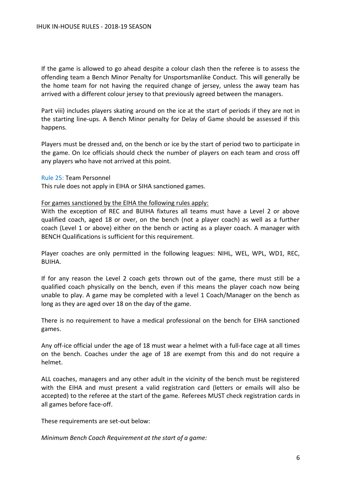If the game is allowed to go ahead despite a colour clash then the referee is to assess the offending team a Bench Minor Penalty for Unsportsmanlike Conduct. This will generally be the home team for not having the required change of jersey, unless the away team has arrived with a different colour jersey to that previously agreed between the managers.

Part viii) includes players skating around on the ice at the start of periods if they are not in the starting line-ups. A Bench Minor penalty for Delay of Game should be assessed if this happens.

Players must be dressed and, on the bench or ice by the start of period two to participate in the game. On Ice officials should check the number of players on each team and cross off any players who have not arrived at this point.

Rule 25: Team Personnel

This rule does not apply in EIHA or SIHA sanctioned games.

#### For games sanctioned by the EIHA the following rules apply:

With the exception of REC and BUIHA fixtures all teams must have a Level 2 or above qualified coach, aged 18 or over, on the bench (not a player coach) as well as a further coach (Level 1 or above) either on the bench or acting as a player coach. A manager with BENCH Qualifications is sufficient for this requirement.

Player coaches are only permitted in the following leagues: NIHL, WEL, WPL, WD1, REC, BUIHA.

If for any reason the Level 2 coach gets thrown out of the game, there must still be a qualified coach physically on the bench, even if this means the player coach now being unable to play. A game may be completed with a level 1 Coach/Manager on the bench as long as they are aged over 18 on the day of the game.

There is no requirement to have a medical professional on the bench for EIHA sanctioned games.

Any off-ice official under the age of 18 must wear a helmet with a full-face cage at all times on the bench. Coaches under the age of 18 are exempt from this and do not require a helmet.

ALL coaches, managers and any other adult in the vicinity of the bench must be registered with the EIHA and must present a valid registration card (letters or emails will also be accepted) to the referee at the start of the game. Referees MUST check registration cards in all games before face-off.

These requirements are set-out below:

*Minimum Bench Coach Requirement at the start of a game:*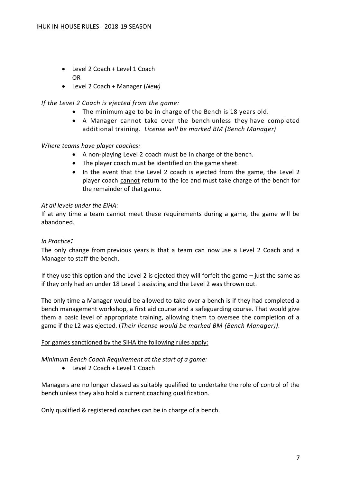- Level 2 Coach + Level 1 Coach OR
- Level 2 Coach + Manager (*New)*

## *If the Level 2 Coach is ejected from the game:*

- The minimum age to be in charge of the Bench is 18 years old.
- A Manager cannot take over the bench unless they have completed additional training. *License will be marked BM (Bench Manager)*

## *Where teams have player coaches:*

- A non-playing Level 2 coach must be in charge of the bench.
- The player coach must be identified on the game sheet.
- In the event that the Level 2 coach is ejected from the game, the Level 2 player coach cannot return to the ice and must take charge of the bench for the remainder of that game.

## *At all levels under the EIHA:*

If at any time a team cannot meet these requirements during a game, the game will be abandoned.

## *In Practice:*

The only change from previous years is that a team can now use a Level 2 Coach and a Manager to staff the bench.

If they use this option and the Level 2 is ejected they will forfeit the game – just the same as if they only had an under 18 Level 1 assisting and the Level 2 was thrown out.

The only time a Manager would be allowed to take over a bench is if they had completed a bench management workshop, a first aid course and a safeguarding course. That would give them a basic level of appropriate training, allowing them to oversee the completion of a game if the L2 was ejected. (*Their license would be marked BM (Bench Manager)).*

## For games sanctioned by the SIHA the following rules apply:

*Minimum Bench Coach Requirement at the start of a game:*

• Level 2 Coach + Level 1 Coach

Managers are no longer classed as suitably qualified to undertake the role of control of the bench unless they also hold a current coaching qualification.

Only qualified & registered coaches can be in charge of a bench.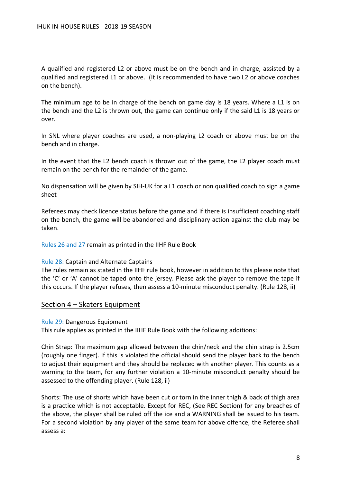A qualified and registered L2 or above must be on the bench and in charge, assisted by a qualified and registered L1 or above. (It is recommended to have two L2 or above coaches on the bench).

The minimum age to be in charge of the bench on game day is 18 years. Where a L1 is on the bench and the L2 is thrown out, the game can continue only if the said L1 is 18 years or over.

In SNL where player coaches are used, a non-playing L2 coach or above must be on the bench and in charge.

In the event that the L2 bench coach is thrown out of the game, the L2 player coach must remain on the bench for the remainder of the game.

No dispensation will be given by SIH-UK for a L1 coach or non qualified coach to sign a game sheet

Referees may check licence status before the game and if there is insufficient coaching staff on the bench, the game will be abandoned and disciplinary action against the club may be taken.

Rules 26 and 27 remain as printed in the IIHF Rule Book

## Rule 28: Captain and Alternate Captains

The rules remain as stated in the IIHF rule book, however in addition to this please note that the 'C' or 'A' cannot be taped onto the jersey. Please ask the player to remove the tape if this occurs. If the player refuses, then assess a 10-minute misconduct penalty. (Rule 128, ii)

## <span id="page-7-0"></span>Section 4 – Skaters Equipment

## Rule 29: Dangerous Equipment

This rule applies as printed in the IIHF Rule Book with the following additions:

Chin Strap: The maximum gap allowed between the chin/neck and the chin strap is 2.5cm (roughly one finger). If this is violated the official should send the player back to the bench to adjust their equipment and they should be replaced with another player. This counts as a warning to the team, for any further violation a 10-minute misconduct penalty should be assessed to the offending player. (Rule 128, ii)

Shorts: The use of shorts which have been cut or torn in the inner thigh & back of thigh area is a practice which is not acceptable. Except for REC, (See REC Section) for any breaches of the above, the player shall be ruled off the ice and a WARNING shall be issued to his team. For a second violation by any player of the same team for above offence, the Referee shall assess a: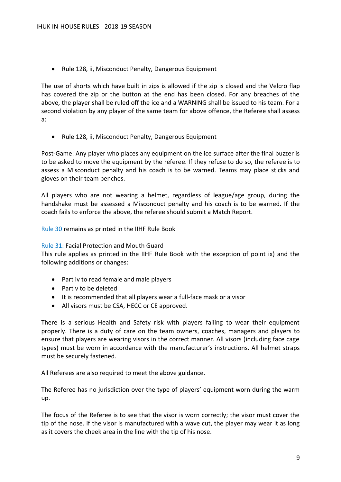• Rule 128, ii, Misconduct Penalty, Dangerous Equipment

The use of shorts which have built in zips is allowed if the zip is closed and the Velcro flap has covered the zip or the button at the end has been closed. For any breaches of the above, the player shall be ruled off the ice and a WARNING shall be issued to his team. For a second violation by any player of the same team for above offence, the Referee shall assess a:

• Rule 128, ii, Misconduct Penalty, Dangerous Equipment

Post-Game: Any player who places any equipment on the ice surface after the final buzzer is to be asked to move the equipment by the referee. If they refuse to do so, the referee is to assess a Misconduct penalty and his coach is to be warned. Teams may place sticks and gloves on their team benches.

All players who are not wearing a helmet, regardless of league/age group, during the handshake must be assessed a Misconduct penalty and his coach is to be warned. If the coach fails to enforce the above, the referee should submit a Match Report.

Rule 30 remains as printed in the IIHF Rule Book

## Rule 31: Facial Protection and Mouth Guard

This rule applies as printed in the IIHF Rule Book with the exception of point ix) and the following additions or changes:

- Part iv to read female and male players
- Part v to be deleted
- It is recommended that all players wear a full-face mask or a visor
- All visors must be CSA, HECC or CE approved.

There is a serious Health and Safety risk with players failing to wear their equipment properly. There is a duty of care on the team owners, coaches, managers and players to ensure that players are wearing visors in the correct manner. All visors (including face cage types) must be worn in accordance with the manufacturer's instructions. All helmet straps must be securely fastened.

All Referees are also required to meet the above guidance.

The Referee has no jurisdiction over the type of players' equipment worn during the warm up.

The focus of the Referee is to see that the visor is worn correctly; the visor must cover the tip of the nose. If the visor is manufactured with a wave cut, the player may wear it as long as it covers the cheek area in the line with the tip of his nose.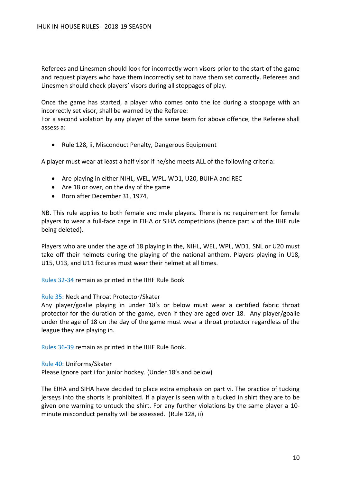Referees and Linesmen should look for incorrectly worn visors prior to the start of the game and request players who have them incorrectly set to have them set correctly. Referees and Linesmen should check players' visors during all stoppages of play.

Once the game has started, a player who comes onto the ice during a stoppage with an incorrectly set visor, shall be warned by the Referee:

For a second violation by any player of the same team for above offence, the Referee shall assess a:

• Rule 128, ii, Misconduct Penalty, Dangerous Equipment

A player must wear at least a half visor if he/she meets ALL of the following criteria:

- Are playing in either NIHL, WEL, WPL, WD1, U20, BUIHA and REC
- Are 18 or over, on the day of the game
- Born after December 31, 1974,

NB. This rule applies to both female and male players. There is no requirement for female players to wear a full-face cage in EIHA or SIHA competitions (hence part v of the IIHF rule being deleted).

Players who are under the age of 18 playing in the, NIHL, WEL, WPL, WD1, SNL or U20 must take off their helmets during the playing of the national anthem. Players playing in U18, U15, U13, and U11 fixtures must wear their helmet at all times.

Rules 32-34 remain as printed in the IIHF Rule Book

#### Rule 35: Neck and Throat Protector/Skater

Any player/goalie playing in under 18's or below must wear a certified fabric throat protector for the duration of the game, even if they are aged over 18. Any player/goalie under the age of 18 on the day of the game must wear a throat protector regardless of the league they are playing in.

Rules 36-39 remain as printed in the IIHF Rule Book.

#### Rule 40: Uniforms/Skater

Please ignore part i for junior hockey. (Under 18's and below)

The EIHA and SIHA have decided to place extra emphasis on part vi. The practice of tucking jerseys into the shorts is prohibited. If a player is seen with a tucked in shirt they are to be given one warning to untuck the shirt. For any further violations by the same player a 10 minute misconduct penalty will be assessed. (Rule 128, ii)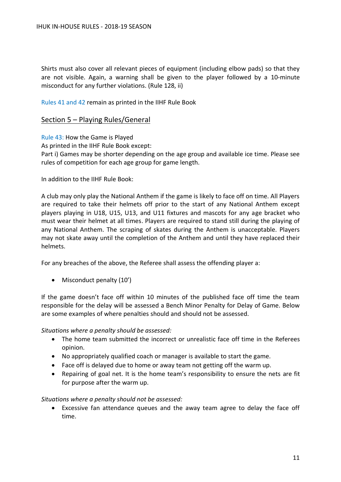Shirts must also cover all relevant pieces of equipment (including elbow pads) so that they are not visible. Again, a warning shall be given to the player followed by a 10-minute misconduct for any further violations. (Rule 128, ii)

Rules 41 and 42 remain as printed in the IIHF Rule Book

## <span id="page-10-0"></span>Section 5 – Playing Rules/General

Rule 43: How the Game is Played

As printed in the IIHF Rule Book except:

Part i) Games may be shorter depending on the age group and available ice time. Please see rules of competition for each age group for game length.

In addition to the IIHF Rule Book:

A club may only play the National Anthem if the game is likely to face off on time. All Players are required to take their helmets off prior to the start of any National Anthem except players playing in U18, U15, U13, and U11 fixtures and mascots for any age bracket who must wear their helmet at all times. Players are required to stand still during the playing of any National Anthem. The scraping of skates during the Anthem is unacceptable. Players may not skate away until the completion of the Anthem and until they have replaced their helmets.

For any breaches of the above, the Referee shall assess the offending player a:

• Misconduct penalty (10')

If the game doesn't face off within 10 minutes of the published face off time the team responsible for the delay will be assessed a Bench Minor Penalty for Delay of Game. Below are some examples of where penalties should and should not be assessed.

*Situations where a penalty should be assessed:*

- The home team submitted the incorrect or unrealistic face off time in the Referees opinion.
- No appropriately qualified coach or manager is available to start the game.
- Face off is delayed due to home or away team not getting off the warm up.
- Repairing of goal net. It is the home team's responsibility to ensure the nets are fit for purpose after the warm up.

*Situations where a penalty should not be assessed:*

• Excessive fan attendance queues and the away team agree to delay the face off time.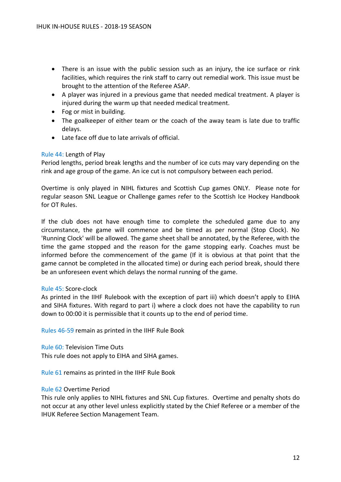- There is an issue with the public session such as an injury, the ice surface or rink facilities, which requires the rink staff to carry out remedial work. This issue must be brought to the attention of the Referee ASAP.
- A player was injured in a previous game that needed medical treatment. A player is injured during the warm up that needed medical treatment.
- Fog or mist in building.
- The goalkeeper of either team or the coach of the away team is late due to traffic delays.
- Late face off due to late arrivals of official.

## Rule 44: Length of Play

Period lengths, period break lengths and the number of ice cuts may vary depending on the rink and age group of the game. An ice cut is not compulsory between each period.

Overtime is only played in NIHL fixtures and Scottish Cup games ONLY. Please note for regular season SNL League or Challenge games refer to the Scottish Ice Hockey Handbook for OT Rules.

If the club does not have enough time to complete the scheduled game due to any circumstance, the game will commence and be timed as per normal (Stop Clock). No 'Running Clock' will be allowed. The game sheet shall be annotated, by the Referee, with the time the game stopped and the reason for the game stopping early. Coaches must be informed before the commencement of the game (If it is obvious at that point that the game cannot be completed in the allocated time) or during each period break, should there be an unforeseen event which delays the normal running of the game.

## Rule 45: Score-clock

As printed in the IIHF Rulebook with the exception of part iii) which doesn't apply to EIHA and SIHA fixtures. With regard to part i) where a clock does not have the capability to run down to 00:00 it is permissible that it counts up to the end of period time.

Rules 46-59 remain as printed in the IIHF Rule Book

Rule 60: Television Time Outs

This rule does not apply to EIHA and SIHA games.

Rule 61 remains as printed in the IIHF Rule Book

## Rule 62 Overtime Period

This rule only applies to NIHL fixtures and SNL Cup fixtures. Overtime and penalty shots do not occur at any other level unless explicitly stated by the Chief Referee or a member of the IHUK Referee Section Management Team.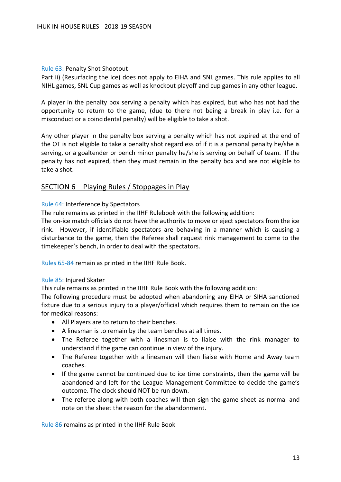#### Rule 63: Penalty Shot Shootout

Part ii) (Resurfacing the ice) does not apply to EIHA and SNL games. This rule applies to all NIHL games, SNL Cup games as well as knockout playoff and cup games in any other league.

A player in the penalty box serving a penalty which has expired, but who has not had the opportunity to return to the game, (due to there not being a break in play i.e. for a misconduct or a coincidental penalty) will be eligible to take a shot.

Any other player in the penalty box serving a penalty which has not expired at the end of the OT is not eligible to take a penalty shot regardless of if it is a personal penalty he/she is serving, or a goaltender or bench minor penalty he/she is serving on behalf of team. If the penalty has not expired, then they must remain in the penalty box and are not eligible to take a shot.

## <span id="page-12-0"></span>SECTION 6 – Playing Rules / Stoppages in Play

#### Rule 64: Interference by Spectators

The rule remains as printed in the IIHF Rulebook with the following addition:

The on-ice match officials do not have the authority to move or eject spectators from the ice rink. However, if identifiable spectators are behaving in a manner which is causing a disturbance to the game, then the Referee shall request rink management to come to the timekeeper's bench, in order to deal with the spectators.

Rules 65-84 remain as printed in the IIHF Rule Book.

#### Rule 85: Injured Skater

This rule remains as printed in the IIHF Rule Book with the following addition:

The following procedure must be adopted when abandoning any EIHA or SIHA sanctioned fixture due to a serious injury to a player/official which requires them to remain on the ice for medical reasons:

- All Players are to return to their benches.
- A linesman is to remain by the team benches at all times.
- The Referee together with a linesman is to liaise with the rink manager to understand if the game can continue in view of the injury.
- The Referee together with a linesman will then liaise with Home and Away team coaches.
- If the game cannot be continued due to ice time constraints, then the game will be abandoned and left for the League Management Committee to decide the game's outcome. The clock should NOT be run down.
- The referee along with both coaches will then sign the game sheet as normal and note on the sheet the reason for the abandonment.

Rule 86 remains as printed in the IIHF Rule Book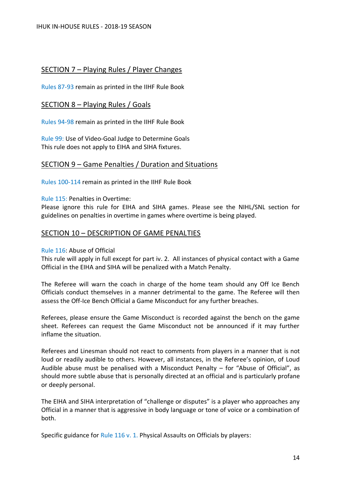## <span id="page-13-0"></span>SECTION 7 – Playing Rules / Player Changes

Rules 87-93 remain as printed in the IIHF Rule Book

## <span id="page-13-1"></span>SECTION 8 – Playing Rules / Goals

Rules 94-98 remain as printed in the IIHF Rule Book

Rule 99: Use of Video-Goal Judge to Determine Goals This rule does not apply to EIHA and SIHA fixtures.

## <span id="page-13-2"></span>SECTION 9 – Game Penalties / Duration and Situations

Rules 100-114 remain as printed in the IIHF Rule Book

Rule 115: Penalties in Overtime:

Please ignore this rule for EIHA and SIHA games. Please see the NIHL/SNL section for guidelines on penalties in overtime in games where overtime is being played.

## <span id="page-13-3"></span>SECTION 10 – DESCRIPTION OF GAME PENALTIES

## Rule 116: Abuse of Official

This rule will apply in full except for part iv. 2. All instances of physical contact with a Game Official in the EIHA and SIHA will be penalized with a Match Penalty.

The Referee will warn the coach in charge of the home team should any Off Ice Bench Officials conduct themselves in a manner detrimental to the game. The Referee will then assess the Off-Ice Bench Official a Game Misconduct for any further breaches.

Referees, please ensure the Game Misconduct is recorded against the bench on the game sheet. Referees can request the Game Misconduct not be announced if it may further inflame the situation.

Referees and Linesman should not react to comments from players in a manner that is not loud or readily audible to others. However, all instances, in the Referee's opinion, of Loud Audible abuse must be penalised with a Misconduct Penalty  $-$  for "Abuse of Official", as should more subtle abuse that is personally directed at an official and is particularly profane or deeply personal.

The EIHA and SIHA interpretation of "challenge or disputes" is a player who approaches any Official in a manner that is aggressive in body language or tone of voice or a combination of both.

Specific guidance for Rule 116 v. 1. Physical Assaults on Officials by players: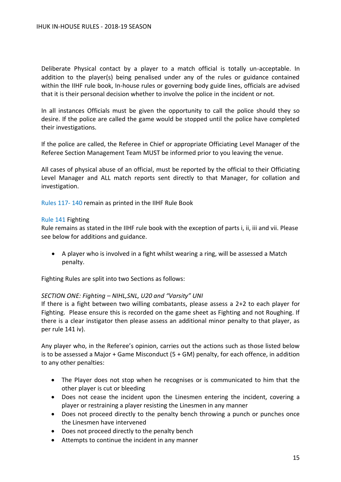Deliberate Physical contact by a player to a match official is totally un-acceptable. In addition to the player(s) being penalised under any of the rules or guidance contained within the IIHF rule book, In-house rules or governing body guide lines, officials are advised that it is their personal decision whether to involve the police in the incident or not.

In all instances Officials must be given the opportunity to call the police should they so desire. If the police are called the game would be stopped until the police have completed their investigations.

If the police are called, the Referee in Chief or appropriate Officiating Level Manager of the Referee Section Management Team MUST be informed prior to you leaving the venue.

All cases of physical abuse of an official, must be reported by the official to their Officiating Level Manager and ALL match reports sent directly to that Manager, for collation and investigation.

Rules 117- 140 remain as printed in the IIHF Rule Book

#### Rule 141 Fighting

Rule remains as stated in the IIHF rule book with the exception of parts i, ii, iii and vii. Please see below for additions and guidance.

• A player who is involved in a fight whilst wearing a ring, will be assessed a Match penalty.

Fighting Rules are split into two Sections as follows:

#### *SECTION ONE: Fighting – NIHL,SNL, U20 and "Varsity" UNI*

If there is a fight between two willing combatants, please assess a 2+2 to each player for Fighting. Please ensure this is recorded on the game sheet as Fighting and not Roughing. If there is a clear instigator then please assess an additional minor penalty to that player, as per rule 141 iv).

Any player who, in the Referee's opinion, carries out the actions such as those listed below is to be assessed a Major  $+$  Game Misconduct (5  $+$  GM) penalty, for each offence, in addition to any other penalties:

- The Player does not stop when he recognises or is communicated to him that the other player is cut or bleeding
- Does not cease the incident upon the Linesmen entering the incident, covering a player or restraining a player resisting the Linesmen in any manner
- Does not proceed directly to the penalty bench throwing a punch or punches once the Linesmen have intervened
- Does not proceed directly to the penalty bench
- Attempts to continue the incident in any manner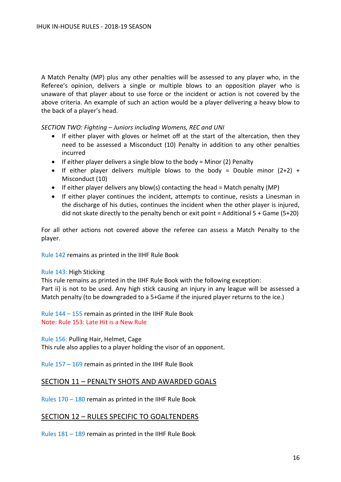A Match Penalty (MP) plus any other penalties will be assessed to any player who, in the Referee's opinion, delivers a single or multiple blows to an opposition player who is unaware of that player about to use force or the incident or action is not covered by the above criteria. An example of such an action would be a player delivering a heavy blow to the back of a player's head.

*SECTION TWO: Fighting – Juniors including Womens, REC and UNI*

- If either player with gloves or helmet off at the start of the altercation, then they need to be assessed a Misconduct (10) Penalty in addition to any other penalties incurred
- If either player delivers a single blow to the body = Minor (2) Penalty
- If either player delivers multiple blows to the body = Double minor  $(2+2)$  + Misconduct (10)
- If either player delivers any blow(s) contacting the head = Match penalty (MP)
- If either player continues the incident, attempts to continue, resists a Linesman in the discharge of his duties, continues the incident when the other player is injured, did not skate directly to the penalty bench or exit point = Additional 5 + Game (5+20)

For all other actions not covered above the referee can assess a Match Penalty to the player.

Rule 142 remains as printed in the IIHF Rule Book

## Rule 143: High Sticking

This rule remains as printed in the IIHF Rule Book with the following exception: Part ii) is not to be used. Any high stick causing an injury in any league will be assessed a Match penalty (to be downgraded to a 5+Game if the injured player returns to the ice.)

Rule 144 – 155 remain as printed in the IIHF Rule Book Note: Rule 153: Late Hit is a New Rule

Rule 156: Pulling Hair, Helmet, Cage This rule also applies to a player holding the visor of an opponent.

Rule 157 – 169 remain as printed in the IIHF Rule Book

## <span id="page-15-0"></span>SECTION 11 – PENALTY SHOTS AND AWARDED GOALS

Rules 170 – 180 remain as printed in the IIHF Rule Book

## <span id="page-15-1"></span>SECTION 12 – RULES SPECIFIC TO GOALTENDERS

Rules 181 – 189 remain as printed in the IIHF Rule Book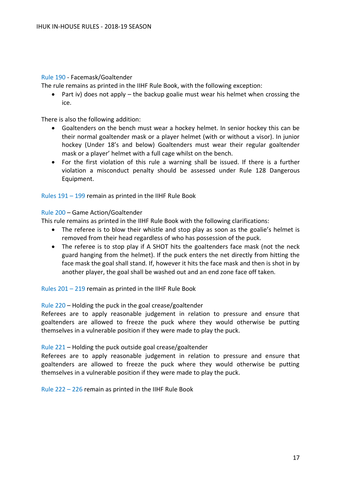## Rule 190 - Facemask/Goaltender

The rule remains as printed in the IIHF Rule Book, with the following exception:

• Part iv) does not apply – the backup goalie must wear his helmet when crossing the ice.

There is also the following addition:

- Goaltenders on the bench must wear a hockey helmet. In senior hockey this can be their normal goaltender mask or a player helmet (with or without a visor). In junior hockey (Under 18's and below) Goaltenders must wear their regular goaltender mask or a player' helmet with a full cage whilst on the bench.
- For the first violation of this rule a warning shall be issued. If there is a further violation a misconduct penalty should be assessed under Rule 128 Dangerous Equipment.

Rules 191 – 199 remain as printed in the IIHF Rule Book

#### Rule 200 – Game Action/Goaltender

This rule remains as printed in the IIHF Rule Book with the following clarifications:

- The referee is to blow their whistle and stop play as soon as the goalie's helmet is removed from their head regardless of who has possession of the puck.
- The referee is to stop play if A SHOT hits the goaltenders face mask (not the neck guard hanging from the helmet). If the puck enters the net directly from hitting the face mask the goal shall stand. If, however it hits the face mask and then is shot in by another player, the goal shall be washed out and an end zone face off taken.

Rules 201 – 219 remain as printed in the IIHF Rule Book

## Rule 220 – Holding the puck in the goal crease/goaltender

Referees are to apply reasonable judgement in relation to pressure and ensure that goaltenders are allowed to freeze the puck where they would otherwise be putting themselves in a vulnerable position if they were made to play the puck.

## Rule 221 – Holding the puck outside goal crease/goaltender

Referees are to apply reasonable judgement in relation to pressure and ensure that goaltenders are allowed to freeze the puck where they would otherwise be putting themselves in a vulnerable position if they were made to play the puck.

Rule 222 – 226 remain as printed in the IIHF Rule Book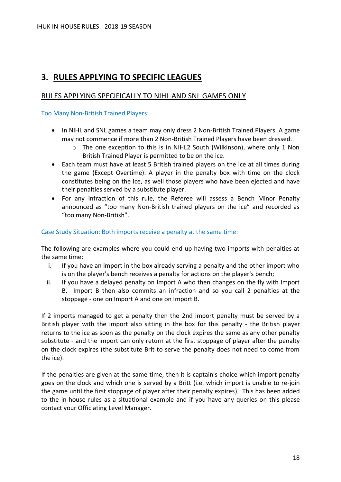# <span id="page-17-0"></span>**3. RULES APPLYING TO SPECIFIC LEAGUES**

## <span id="page-17-1"></span>RULES APPLYING SPECIFICALLY TO NIHL AND SNL GAMES ONLY

Too Many Non-British Trained Players:

- In NIHL and SNL games a team may only dress 2 Non-British Trained Players. A game may not commence if more than 2 Non-British Trained Players have been dressed.
	- o The one exception to this is in NIHL2 South (Wilkinson), where only 1 Non British Trained Player is permitted to be on the ice.
- Each team must have at least 5 British trained players on the ice at all times during the game (Except Overtime). A player in the penalty box with time on the clock constitutes being on the ice, as well those players who have been ejected and have their penalties served by a substitute player.
- For any infraction of this rule, the Referee will assess a Bench Minor Penalty announced as "too many Non-British trained players on the ice" and recorded as "too many Non-British".

## Case Study Situation: Both imports receive a penalty at the same time:

The following are examples where you could end up having two imports with penalties at the same time:

- i. If you have an import in the box already serving a penalty and the other import who is on the player's bench receives a penalty for actions on the player's bench;
- ii. If you have a delayed penalty on Import A who then changes on the fly with Import B. Import B then also commits an infraction and so you call 2 penalties at the stoppage - one on Import A and one on Import B.

If 2 imports managed to get a penalty then the 2nd import penalty must be served by a British player with the import also sitting in the box for this penalty - the British player returns to the ice as soon as the penalty on the clock expires the same as any other penalty substitute - and the import can only return at the first stoppage of player after the penalty on the clock expires (the substitute Brit to serve the penalty does not need to come from the ice).

If the penalties are given at the same time, then it is captain's choice which import penalty goes on the clock and which one is served by a Britt (i.e. which import is unable to re-join the game until the first stoppage of player after their penalty expires). This has been added to the in-house rules as a situational example and if you have any queries on this please contact your Officiating Level Manager.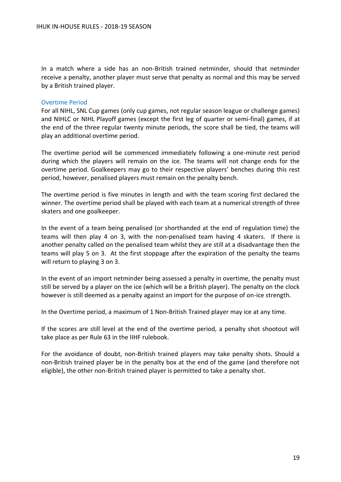In a match where a side has an non-British trained netminder, should that netminder receive a penalty, another player must serve that penalty as normal and this may be served by a British trained player.

#### Overtime Period

For all NIHL, SNL Cup games (only cup games, not regular season league or challenge games) and NIHLC or NIHL Playoff games (except the first leg of quarter or semi-final) games, if at the end of the three regular twenty minute periods, the score shall be tied, the teams will play an additional overtime period.

The overtime period will be commenced immediately following a one-minute rest period during which the players will remain on the ice. The teams will not change ends for the overtime period. Goalkeepers may go to their respective players' benches during this rest period, however, penalised players must remain on the penalty bench.

The overtime period is five minutes in length and with the team scoring first declared the winner. The overtime period shall be played with each team at a numerical strength of three skaters and one goalkeeper.

In the event of a team being penalised (or shorthanded at the end of regulation time) the teams will then play 4 on 3, with the non-penalised team having 4 skaters. If there is another penalty called on the penalised team whilst they are still at a disadvantage then the teams will play 5 on 3. At the first stoppage after the expiration of the penalty the teams will return to playing 3 on 3.

In the event of an import netminder being assessed a penalty in overtime, the penalty must still be served by a player on the ice (which will be a British player). The penalty on the clock however is still deemed as a penalty against an import for the purpose of on-ice strength.

In the Overtime period, a maximum of 1 Non-British Trained player may ice at any time.

If the scores are still level at the end of the overtime period, a penalty shot shootout will take place as per Rule 63 in the IIHF rulebook.

For the avoidance of doubt, non-British trained players may take penalty shots. Should a non-British trained player be in the penalty box at the end of the game (and therefore not eligible), the other non-British trained player is permitted to take a penalty shot.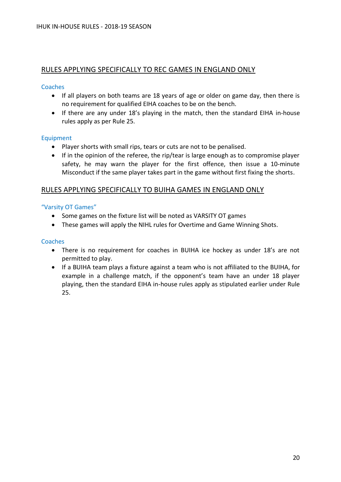## <span id="page-19-0"></span>RULES APPLYING SPECIFICALLY TO REC GAMES IN ENGLAND ONLY

## **Coaches**

- If all players on both teams are 18 years of age or older on game day, then there is no requirement for qualified EIHA coaches to be on the bench.
- If there are any under 18's playing in the match, then the standard EIHA in-house rules apply as per Rule 25.

## Equipment

- Player shorts with small rips, tears or cuts are not to be penalised.
- If in the opinion of the referee, the rip/tear is large enough as to compromise player safety, he may warn the player for the first offence, then issue a 10-minute Misconduct if the same player takes part in the game without first fixing the shorts.

## <span id="page-19-1"></span>RULES APPLYING SPECIFICALLY TO BUIHA GAMES IN ENGLAND ONLY

## "Varsity OT Games"

- Some games on the fixture list will be noted as VARSITY OT games
- These games will apply the NIHL rules for Overtime and Game Winning Shots.

#### **Coaches**

- There is no requirement for coaches in BUIHA ice hockey as under 18's are not permitted to play.
- If a BUIHA team plays a fixture against a team who is not affiliated to the BUIHA, for example in a challenge match, if the opponent's team have an under 18 player playing, then the standard EIHA in-house rules apply as stipulated earlier under Rule 25.